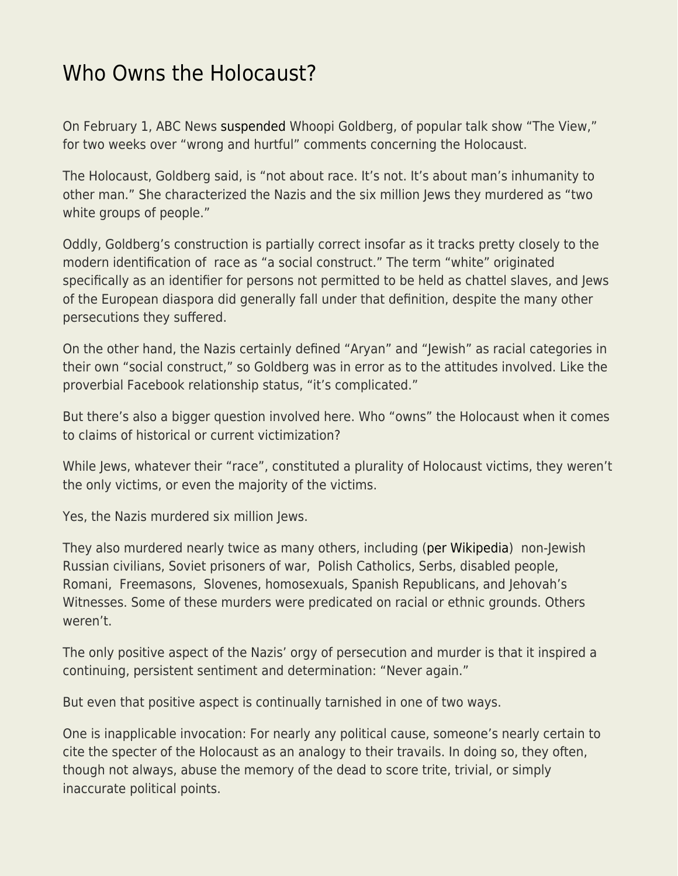## [Who Owns the Holocaust?](https://everything-voluntary.com/who-owns-the-holocaust)

On February 1, ABC News [suspended](https://abcnews.go.com/US/whoopi-goldberg-suspended-view-weeks-holocaust-comments/story?id=82613265) Whoopi Goldberg, of popular talk show "The View," for two weeks over "wrong and hurtful" comments concerning the Holocaust.

The Holocaust, Goldberg said, is "not about race. It's not. It's about man's inhumanity to other man." She characterized the Nazis and the six million Jews they murdered as "two white groups of people."

Oddly, Goldberg's construction is partially correct insofar as it tracks pretty closely to the modern identification of race as "a social construct." The term "white" originated specifically as an identifier for persons not permitted to be held as chattel slaves, and Jews of the European diaspora did generally fall under that definition, despite the many other persecutions they suffered.

On the other hand, the Nazis certainly defined "Aryan" and "Jewish" as racial categories in their own "social construct," so Goldberg was in error as to the attitudes involved. Like the proverbial Facebook relationship status, "it's complicated."

But there's also a bigger question involved here. Who "owns" the Holocaust when it comes to claims of historical or current victimization?

While Jews, whatever their "race", constituted a plurality of Holocaust victims, they weren't the only victims, or even the majority of the victims.

Yes, the Nazis murdered six million Jews.

They also murdered nearly twice as many others, including [\(per Wikipedia\)](https://en.wikipedia.org/wiki/Holocaust_victims) non-Jewish Russian civilians, Soviet prisoners of war, Polish Catholics, Serbs, disabled people, Romani, Freemasons, Slovenes, homosexuals, Spanish Republicans, and Jehovah's Witnesses. Some of these murders were predicated on racial or ethnic grounds. Others weren't.

The only positive aspect of the Nazis' orgy of persecution and murder is that it inspired a continuing, persistent sentiment and determination: "Never again."

But even that positive aspect is continually tarnished in one of two ways.

One is inapplicable invocation: For nearly any political cause, someone's nearly certain to cite the specter of the Holocaust as an analogy to their travails. In doing so, they often, though not always, abuse the memory of the dead to score trite, trivial, or simply inaccurate political points.